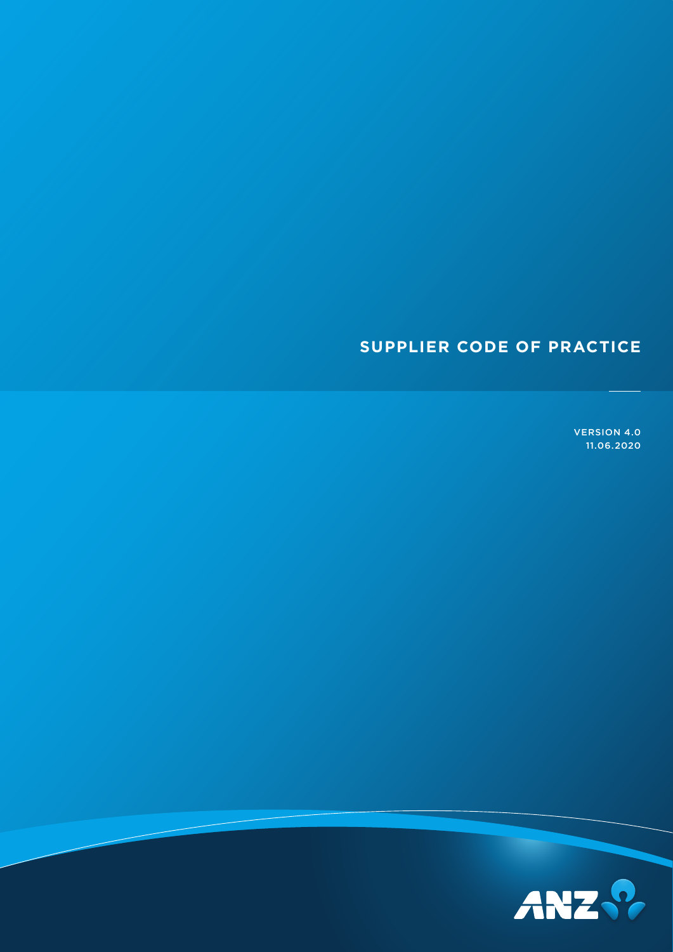## **SUPPLIER CODE OF PRACTICE**

VERSION 4.0 11.06.2020

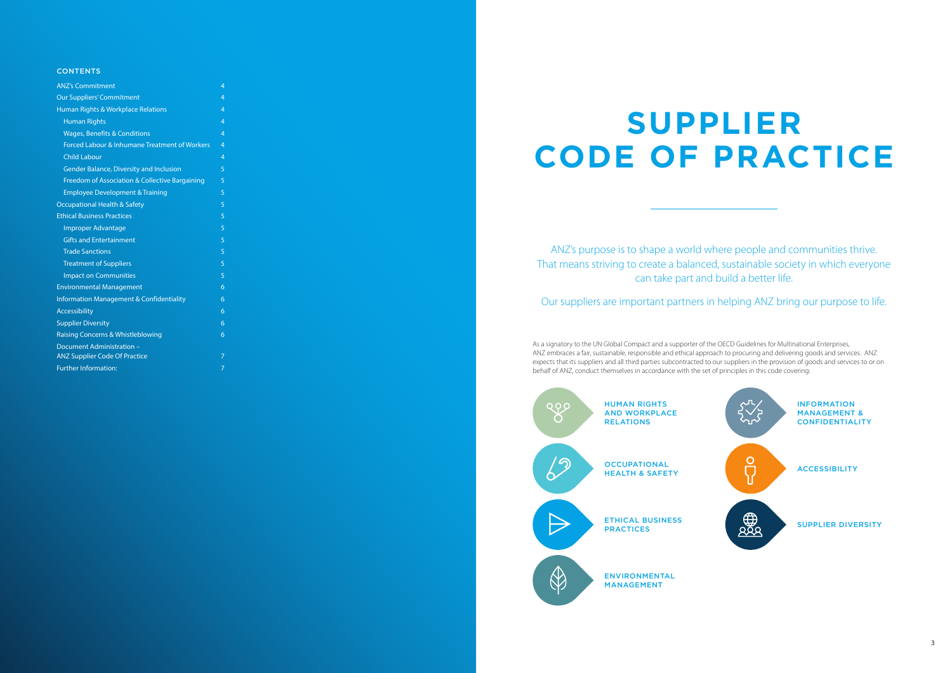| <b>ANZ's Commitment</b>                             | 4              |
|-----------------------------------------------------|----------------|
| <b>Our Suppliers' Commitment</b>                    | 4              |
| Human Rights & Workplace Relations                  | 4              |
| <b>Human Rights</b>                                 | 4              |
| <b>Wages, Benefits &amp; Conditions</b>             | 4              |
| Forced Labour & Inhumane Treatment of Workers       | $\overline{4}$ |
| <b>Child Labour</b>                                 | 4              |
| <b>Gender Balance, Diversity and Inclusion</b>      | 5              |
| Freedom of Association & Collective Bargaining      | 5              |
| <b>Employee Development &amp; Training</b>          | 5              |
| <b>Occupational Health &amp; Safety</b>             | 5              |
| <b>Ethical Business Practices</b>                   | 5              |
| Improper Advantage                                  | 5              |
| <b>Gifts and Entertainment</b>                      | 5              |
| <b>Trade Sanctions</b>                              | 5              |
| <b>Treatment of Suppliers</b>                       | 5              |
| <b>Impact on Communities</b>                        | 5              |
| <b>Environmental Management</b>                     | 6              |
| <b>Information Management &amp; Confidentiality</b> | 6              |
| Accessibility                                       | 6              |
| <b>Supplier Diversity</b>                           | 6              |
| Raising Concerns & Whistleblowing                   | 6              |
| Document Administration -                           |                |
| <b>ANZ Supplier Code Of Practice</b>                | 7              |
| <b>Further Information:</b>                         | 7              |

#### CONTENTS

ANZ's purpose is to shape a world where people and communities thrive. That means striving to create a balanced, sustainable society in which everyone can take part and build a better life.

Our suppliers are important partners in helping ANZ bring our purpose to life.

INFORMATION MANAGEMENT & CONFIDENTIALITY





As a signatory to the UN Global Compact and a supporter of the OECD Guidelines for Multinational Enterprises, ANZ embraces a fair, sustainable, responsible and ethical approach to procuring and delivering goods and services. ANZ expects that its suppliers and all third parties subcontracted to our suppliers in the provision of goods and services to or on behalf of ANZ, conduct themselves in accordance with the set of principles in this code covering:

# **SUPPLIER CODE OF PRACTICE**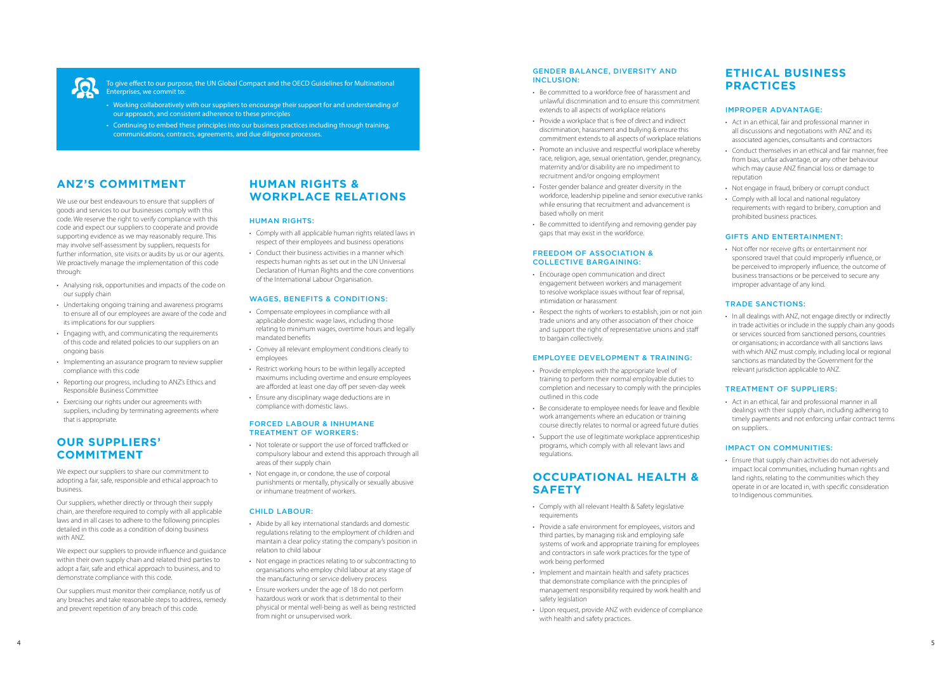#### GENDER BALANCE, DIVERSITY AND INCLUSION:

- Be committed to a workforce free of harassment and unlawful discrimination and to ensure this commitment extends to all aspects of workplace relations
- Provide a workplace that is free of direct and indirect discrimination, harassment and bullying & ensure this commitment extends to all aspects of workplace relations
- Promote an inclusive and respectful workplace whereby race, religion, age, sexual orientation, gender, pregnancy, maternity and/or disability are no impediment to recruitment and/or ongoing employment
- Foster gender balance and greater diversity in the workforce, leadership pipeline and senior executive ranks while ensuring that recruitment and advancement is based wholly on merit
- Be committed to identifying and removing gender pay gaps that may exist in the workforce.

#### FREEDOM OF ASSOCIATION & COLLECTIVE BARGAINING:

- Encourage open communication and direct engagement between workers and management to resolve workplace issues without fear of reprisal, intimidation or harassment
- Respect the rights of workers to establish, join or not join trade unions and any other association of their choice and support the right of representative unions and staff to bargain collectively.

#### EMPLOYEE DEVELOPMENT & TRAINING:

- Provide employees with the appropriate level of training to perform their normal employable duties to completion and necessary to comply with the principles outlined in this code
- Be considerate to employee needs for leave and flexible work arrangements where an education or training course directly relates to normal or agreed future duties
- Support the use of legitimate workplace apprenticeship programs, which comply with all relevant laws and regulations.

### **OCCUPATIONAL HEALTH & SAFETY**

• In all dealings with ANZ, not engage directly or indirectly in trade activities or include in the supply chain any goods or services sourced from sanctioned persons, countries or organisations; in accordance with all sanctions laws with which ANZ must comply, including local or regional sanctions as mandated by the Government for the relevant jurisdiction applicable to ANZ.

- Comply with all relevant Health & Safety legislative requirements
- Provide a safe environment for employees, visitors and third parties, by managing risk and employing safe systems of work and appropriate training for employees and contractors in safe work practices for the type of work being performed
- Implement and maintain health and safety practices that demonstrate compliance with the principles of management responsibility required by work health and safety legislation
- Upon request, provide ANZ with evidence of compliance with health and safety practices.

## **ETHICAL BUSINESS PRACTICES**

#### IMPROPER ADVANTAGE:

- Act in an ethical, fair and professional manner in all discussions and negotiations with ANZ and its associated agencies, consultants and contractors
- Conduct themselves in an ethical and fair manner, free from bias, unfair advantage, or any other behaviour which may cause ANZ financial loss or damage to reputation
- Not engage in fraud, bribery or corrupt conduct
- Comply with all local and national regulatory requirements with regard to bribery, corruption and prohibited business practices.

#### GIFTS AND ENTERTAINMENT:

• Not offer nor receive gifts or entertainment nor sponsored travel that could improperly influence, or be perceived to improperly influence, the outcome of business transactions or be perceived to secure any improper advantage of any kind.

#### TRADE SANCTIONS:

#### TREATMENT OF SUPPLIERS:

• Act in an ethical, fair and professional manner in all dealings with their supply chain, including adhering to timely payments and not enforcing unfair contract terms on suppliers.

#### IMPACT ON COMMUNITIES:

• Ensure that supply chain activities do not adversely impact local communities, including human rights and land rights, relating to the communities which they operate in or are located in, with specific consideration to Indigenous communities.

<span id="page-2-0"></span>

To give effect to our purpose, the UN Global Compact and the OECD Guidelines for Multinational Enterprises, we commit to:

- Working collaboratively with our suppliers to encourage their support for and understanding of our approach, and consistent adherence to these principles
- Continuing to embed these principles into our business practices including through training, communications, contracts, agreements, and due diligence processes.

## **ANZ'S COMMITMENT**

We use our best endeavours to ensure that suppliers of goods and services to our businesses comply with this code. We reserve the right to verify compliance with this code and expect our suppliers to cooperate and provide supporting evidence as we may reasonably require. This may involve self-assessment by suppliers, requests for further information, site visits or audits by us or our agents. We proactively manage the implementation of this code through:

- Analysing risk, opportunities and impacts of the code on our supply chain
- Undertaking ongoing training and awareness programs to ensure all of our employees are aware of the code and its implications for our suppliers
- Engaging with, and communicating the requirements of this code and related policies to our suppliers on an ongoing basis
- Implementing an assurance program to review supplier compliance with this code
- Reporting our progress, including to ANZ's Ethics and Responsible Business Committee
- Exercising our rights under our agreements with suppliers, including by terminating agreements where that is appropriate.

## **OUR SUPPLIERS' COMMITMENT**

We expect our suppliers to share our commitment to adopting a fair, safe, responsible and ethical approach to business.

Our suppliers, whether directly or through their supply chain, are therefore required to comply with all applicable laws and in all cases to adhere to the following principles detailed in this code as a condition of doing business with ANZ.

We expect our suppliers to provide influence and guidance within their own supply chain and related third parties to adopt a fair, safe and ethical approach to business, and to demonstrate compliance with this code.

Our suppliers must monitor their compliance, notify us of any breaches and take reasonable steps to address, remedy and prevent repetition of any breach of this code.

## **HUMAN RIGHTS & WORKPLACE RELATIONS**

#### HUMAN RIGHTS:

- Comply with all applicable human rights related laws in respect of their employees and business operations
- Conduct their business activities in a manner which respects human rights as set out in the UN Universal Declaration of Human Rights and the core conventions of the International Labour Organisation.

#### WAGES, BENEFITS & CONDITIONS:

- Compensate employees in compliance with all applicable domestic wage laws, including those relating to minimum wages, overtime hours and legally mandated benefits
- Convey all relevant employment conditions clearly to employees
- Restrict working hours to be within legally accepted maximums including overtime and ensure employees are afforded at least one day off per seven-day week
- Ensure any disciplinary wage deductions are in compliance with domestic laws.

#### FORCED LABOUR & INHUMANE TREATMENT OF WORKERS:

- Not tolerate or support the use of forced trafficked or compulsory labour and extend this approach through all areas of their supply chain
- Not engage in, or condone, the use of corporal punishments or mentally, physically or sexually abusive or inhumane treatment of workers.

#### CHILD LABOUR:

- Abide by all key international standards and domestic regulations relating to the employment of children and maintain a clear policy stating the company's position in relation to child labour
- Not engage in practices relating to or subcontracting to organisations who employ child labour at any stage of the manufacturing or service delivery process
- Ensure workers under the age of 18 do not perform hazardous work or work that is detrimental to their physical or mental well-being as well as being restricted from night or unsupervised work.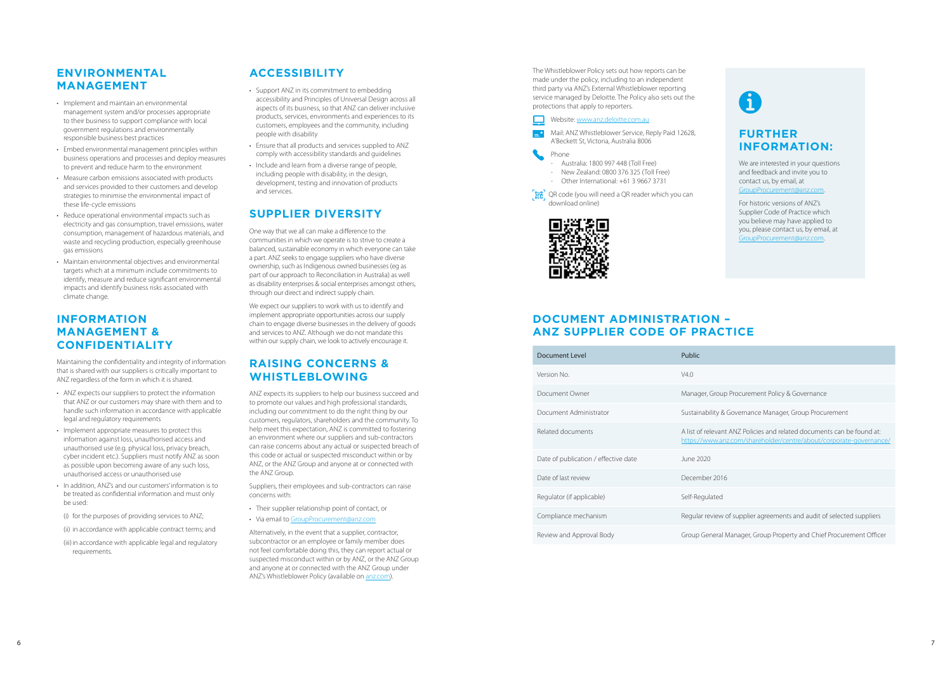

## <span id="page-3-0"></span>**ENVIRONMENTAL MANAGEMENT**

- Implement and maintain an environmental management system and/or processes appropriate to their business to support compliance with local government regulations and environmentally responsible business best practices
- Embed environmental management principles within business operations and processes and deploy measures to prevent and reduce harm to the environment
- Measure carbon emissions associated with products and services provided to their customers and develop strategies to minimise the environmental impact of these life-cycle emissions
- Reduce operational environmental impacts such as electricity and gas consumption, travel emissions, water consumption, management of hazardous materials, and waste and recycling production, especially greenhouse gas emissions
- Maintain environmental objectives and environmental targets which at a minimum include commitments to identify, measure and reduce significant environmental impacts and identify business risks associated with climate change.

## **INFORMATION MANAGEMENT & CONFIDENTIALITY**

Maintaining the confidentiality and integrity of information that is shared with our suppliers is critically important to ANZ regardless of the form in which it is shared.

- ANZ expects our suppliers to protect the information that ANZ or our customers may share with them and to handle such information in accordance with applicable legal and regulatory requirements
- Implement appropriate measures to protect this information against loss, unauthorised access and unauthorised use (e.g. physical loss, privacy breach, cyber incident etc.). Suppliers must notify ANZ as soon as possible upon becoming aware of any such loss, unauthorised access or unauthorised use
- In addition, ANZ's and our customers' information is to be treated as confidential information and must only be used:
- (i) for the purposes of providing services to ANZ;
- (ii) in accordance with applicable contract terms; and
- (iii) in accordance with applicable legal and regulatory requirements.

## **ACCESSIBILITY**

- Support ANZ in its commitment to embedding accessibility and Principles of Universal Design across all aspects of its business, so that ANZ can deliver inclusive products, services, environments and experiences to its customers, employees and the community, including people with disability
- Ensure that all products and services supplied to ANZ comply with accessibility standards and guidelines
- Include and learn from a diverse range of people, including people with disability, in the design, development, testing and innovation of products and services.

## **SUPPLIER DIVERSITY**

One way that we all can make a difference to the communities in which we operate is to strive to create a balanced, sustainable economy in which everyone can take a part. ANZ seeks to engage suppliers who have diverse ownership, such as Indigenous owned businesses (eg as part of our approach to Reconciliation in Australia) as well as disability enterprises & social enterprises amongst others, through our direct and indirect supply chain.

We are interested in your questions and feedback and invite you to contact us, by email, at [GroupProcurement@anz.com](mailto:GroupProcurement%40anz.com?subject=) .

We expect our suppliers to work with us to identify and implement appropriate opportunities across our supply chain to engage diverse businesses in the delivery of goods and services to ANZ. Although we do not mandate this within our supply chain, we look to actively encourage it.

## **RAISING CONCERNS & WHISTLEBLOWING**

ANZ expects its suppliers to help our business succeed and to promote our values and high professional standards, including our commitment to do the right thing by our customers, regulators, shareholders and the community. To help meet this expectation, ANZ is committed to fostering an environment where our suppliers and sub-contractors can raise concerns about any actual or suspected breach of this code or actual or suspected misconduct within or by ANZ, or the ANZ Group and anyone at or connected with the ANZ Group.

Suppliers, their employees and sub-contractors can raise concerns with:

- Their supplier relationship point of contact, or<br>• Via email to GroupProcurement@anz.com
- 

Alternatively, in the event that a supplier, contractor, subcontractor or an employee or family member does not feel comfortable doing this, they can report actual or suspected misconduct within or by ANZ, or the ANZ Group and anyone at or connected with the ANZ Group under ANZ's Whistleblower Policy (available on [anz.com\)](https://aus01.safelinks.protection.outlook.com/?url=https%3A%2F%2Fwww.anz.com%2Fshareholder%2Fcentre%2Fabout%2Fcorporate-governance%2F&data=02%7C01%7CKaren.Roy%40tollgroup.com%7Ccd27c9d6fa6447ae873c08d822fd24cb%7C0f004b2efb0745e7a568caf4905b0339%7C0%7C0%7C637297817923235620&sdata=X7wz%2FBK7Y%2Fsfc8KuItvQJr5%2FoKEWibyFDk81mqjMNzE%3D&reserved=0).

The Whistleblower Policy sets out how reports can be made under the policy, including to an independent third party via ANZ's External Whistleblower reporting service managed by Deloitte. The Policy also sets out the protections that apply to reporters.

#### Website: [www.anz.deloitte.com.au](http://www.anz.deloitte.com.au)

 Mail: ANZ Whistleblower Service, Reply Paid 12628, A'Beckett St, Victoria, Australia 8006

Phone

- Australia: 1800 997 448 (Toll Free)
- New Zealand: 0800 376 325 (Toll Free)
- Other International: +61 3 9667 3731
- . He ' QR code (you will need a QR reader which you can download online)



## **DOCUMENT ADMINISTRATION – ANZ SUPPLIER CODE OF PRACTICE**

| <b>Document Level</b>                | Public                                |
|--------------------------------------|---------------------------------------|
| Version No.                          | V4.0                                  |
| Document Owner                       | Manager, Group                        |
| Document Administrator               | Sustainability &                      |
| Related documents                    | A list of relevant<br>https://www.an. |
| Date of publication / effective date | June 2020                             |
| Date of last review                  | December 2016                         |
| Regulator (if applicable)            | Self-Regulated                        |
| Compliance mechanism                 | Regular review o                      |
| Review and Approval Body             | Group General M                       |

## **FURTHER INFORMATION:**

For historic versions of ANZ's Supplier Code of Practice which you believe may have applied to you, please contact us, by email, at [GroupProcurement@anz.com](mailto:GroupProcurement%40anz.com?subject=) .



oup Procurement Policy & Governance

& Governance Manager, Group Procurement

ant ANZ Policies and related documents can be found at: .anz.com/shareholder/centre/about/corporate-governance/

w of supplier agreements and audit of selected suppliers

ral Manager, Group Property and Chief Procurement Officer